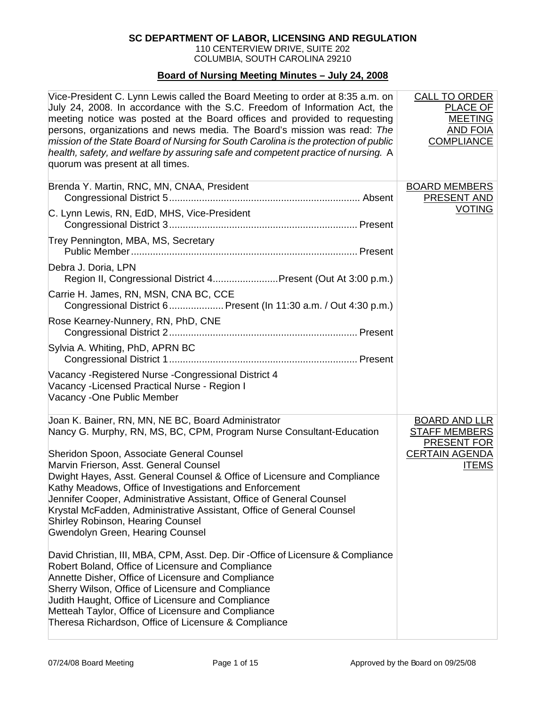### **SC DEPARTMENT OF LABOR, LICENSING AND REGULATION**

110 CENTERVIEW DRIVE, SUITE 202 COLUMBIA, SOUTH CAROLINA 29210

#### **Board of Nursing Meeting Minutes – July 24, 2008**

| Vice-President C. Lynn Lewis called the Board Meeting to order at 8:35 a.m. on<br>July 24, 2008. In accordance with the S.C. Freedom of Information Act, the<br>meeting notice was posted at the Board offices and provided to requesting<br>persons, organizations and news media. The Board's mission was read: The<br>mission of the State Board of Nursing for South Carolina is the protection of public<br>health, safety, and welfare by assuring safe and competent practice of nursing. A<br>quorum was present at all times. | <b>CALL TO ORDER</b><br>PLACE OF<br><b>MEETING</b><br><b>AND FOIA</b><br><b>COMPLIANCE</b> |
|----------------------------------------------------------------------------------------------------------------------------------------------------------------------------------------------------------------------------------------------------------------------------------------------------------------------------------------------------------------------------------------------------------------------------------------------------------------------------------------------------------------------------------------|--------------------------------------------------------------------------------------------|
| Brenda Y. Martin, RNC, MN, CNAA, President                                                                                                                                                                                                                                                                                                                                                                                                                                                                                             | <b>BOARD MEMBERS</b><br>PRESENT AND                                                        |
| C. Lynn Lewis, RN, EdD, MHS, Vice-President                                                                                                                                                                                                                                                                                                                                                                                                                                                                                            | <b>VOTING</b>                                                                              |
| Trey Pennington, MBA, MS, Secretary                                                                                                                                                                                                                                                                                                                                                                                                                                                                                                    |                                                                                            |
| Debra J. Doria, LPN<br>Region II, Congressional District 4Present (Out At 3:00 p.m.)                                                                                                                                                                                                                                                                                                                                                                                                                                                   |                                                                                            |
| Carrie H. James, RN, MSN, CNA BC, CCE<br>Congressional District 6 Present (In 11:30 a.m. / Out 4:30 p.m.)                                                                                                                                                                                                                                                                                                                                                                                                                              |                                                                                            |
| Rose Kearney-Nunnery, RN, PhD, CNE                                                                                                                                                                                                                                                                                                                                                                                                                                                                                                     |                                                                                            |
| Sylvia A. Whiting, PhD, APRN BC                                                                                                                                                                                                                                                                                                                                                                                                                                                                                                        |                                                                                            |
| Vacancy - Registered Nurse - Congressional District 4<br>Vacancy - Licensed Practical Nurse - Region I<br>Vacancy - One Public Member                                                                                                                                                                                                                                                                                                                                                                                                  |                                                                                            |
| Joan K. Bainer, RN, MN, NE BC, Board Administrator<br>Nancy G. Murphy, RN, MS, BC, CPM, Program Nurse Consultant-Education                                                                                                                                                                                                                                                                                                                                                                                                             | <b>BOARD AND LLR</b><br><b>STAFF MEMBERS</b><br><b>PRESENT FOR</b>                         |
| Sheridon Spoon, Associate General Counsel<br>Marvin Frierson, Asst. General Counsel<br>Dwight Hayes, Asst. General Counsel & Office of Licensure and Compliance<br>Kathy Meadows, Office of Investigations and Enforcement<br>Jennifer Cooper, Administrative Assistant, Office of General Counsel<br>Krystal McFadden, Administrative Assistant, Office of General Counsel<br><b>Shirley Robinson, Hearing Counsel</b><br>Gwendolyn Green, Hearing Counsel                                                                            | <b>CERTAIN AGENDA</b><br><b>ITEMS</b>                                                      |
| David Christian, III, MBA, CPM, Asst. Dep. Dir -Office of Licensure & Compliance<br>Robert Boland, Office of Licensure and Compliance<br>Annette Disher, Office of Licensure and Compliance<br>Sherry Wilson, Office of Licensure and Compliance<br>Judith Haught, Office of Licensure and Compliance<br>Metteah Taylor, Office of Licensure and Compliance<br>Theresa Richardson, Office of Licensure & Compliance                                                                                                                    |                                                                                            |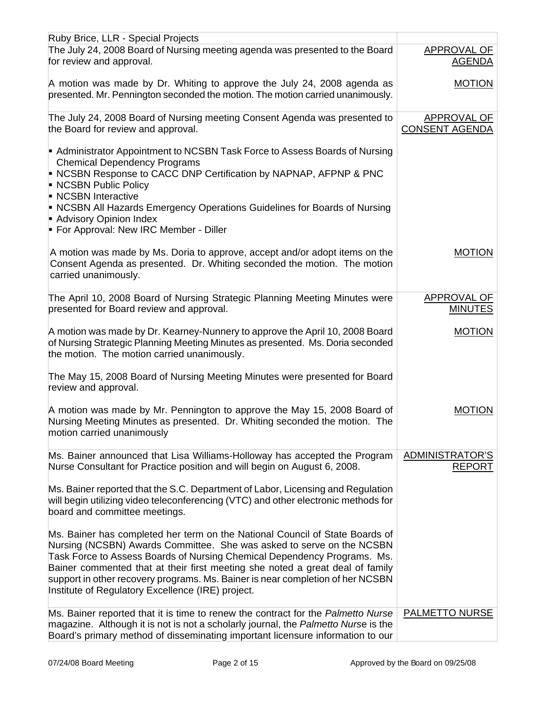| Ruby Brice, LLR - Special Projects                                                                                                                                                                                                                                                                                                                                                                                                                        |                                             |
|-----------------------------------------------------------------------------------------------------------------------------------------------------------------------------------------------------------------------------------------------------------------------------------------------------------------------------------------------------------------------------------------------------------------------------------------------------------|---------------------------------------------|
| The July 24, 2008 Board of Nursing meeting agenda was presented to the Board<br>for review and approval.                                                                                                                                                                                                                                                                                                                                                  | APPROVAL OF<br><b>AGENDA</b>                |
| A motion was made by Dr. Whiting to approve the July 24, 2008 agenda as<br>presented. Mr. Pennington seconded the motion. The motion carried unanimously.                                                                                                                                                                                                                                                                                                 | <b>MOTION</b>                               |
| The July 24, 2008 Board of Nursing meeting Consent Agenda was presented to<br>the Board for review and approval.                                                                                                                                                                                                                                                                                                                                          | <b>APPROVAL OF</b><br><b>CONSENT AGENDA</b> |
| Administrator Appointment to NCSBN Task Force to Assess Boards of Nursing<br><b>Chemical Dependency Programs</b><br>• NCSBN Response to CACC DNP Certification by NAPNAP, AFPNP & PNC<br><b>NCSBN Public Policy</b><br>NCSBN Interactive                                                                                                                                                                                                                  |                                             |
| • NCSBN All Hazards Emergency Operations Guidelines for Boards of Nursing<br>Advisory Opinion Index<br>For Approval: New IRC Member - Diller                                                                                                                                                                                                                                                                                                              |                                             |
| A motion was made by Ms. Doria to approve, accept and/or adopt items on the<br>Consent Agenda as presented. Dr. Whiting seconded the motion. The motion<br>carried unanimously.                                                                                                                                                                                                                                                                           | <b>MOTION</b>                               |
| The April 10, 2008 Board of Nursing Strategic Planning Meeting Minutes were<br>presented for Board review and approval.                                                                                                                                                                                                                                                                                                                                   | APPROVAL OF<br><b>MINUTES</b>               |
| A motion was made by Dr. Kearney-Nunnery to approve the April 10, 2008 Board<br>of Nursing Strategic Planning Meeting Minutes as presented. Ms. Doria seconded<br>the motion. The motion carried unanimously.                                                                                                                                                                                                                                             | <b>MOTION</b>                               |
| The May 15, 2008 Board of Nursing Meeting Minutes were presented for Board<br>review and approval.                                                                                                                                                                                                                                                                                                                                                        |                                             |
| A motion was made by Mr. Pennington to approve the May 15, 2008 Board of<br>Nursing Meeting Minutes as presented. Dr. Whiting seconded the motion. The<br>motion carried unanimously                                                                                                                                                                                                                                                                      | <b>MOTION</b>                               |
| Ms. Bainer announced that Lisa Williams-Holloway has accepted the Program<br>Nurse Consultant for Practice position and will begin on August 6, 2008.                                                                                                                                                                                                                                                                                                     | ADMINISTRATOR'S<br><b>REPORT</b>            |
| Ms. Bainer reported that the S.C. Department of Labor, Licensing and Regulation<br>will begin utilizing video teleconferencing (VTC) and other electronic methods for<br>board and committee meetings.                                                                                                                                                                                                                                                    |                                             |
| Ms. Bainer has completed her term on the National Council of State Boards of<br>Nursing (NCSBN) Awards Committee. She was asked to serve on the NCSBN<br>Task Force to Assess Boards of Nursing Chemical Dependency Programs. Ms.<br>Bainer commented that at their first meeting she noted a great deal of family<br>support in other recovery programs. Ms. Bainer is near completion of her NCSBN<br>Institute of Regulatory Excellence (IRE) project. |                                             |
| Ms. Bainer reported that it is time to renew the contract for the Palmetto Nurse<br>magazine. Although it is not is not a scholarly journal, the Palmetto Nurse is the<br>Board's primary method of disseminating important licensure information to our                                                                                                                                                                                                  | <b>PALMETTO NURSE</b>                       |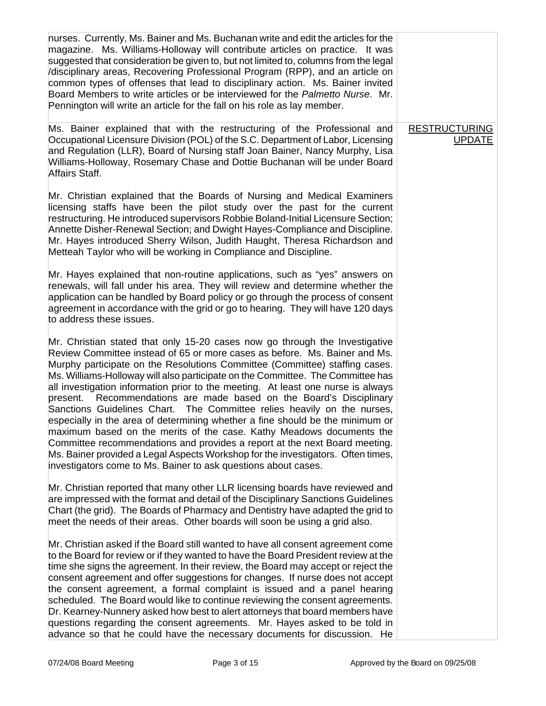| nurses. Currently, Ms. Bainer and Ms. Buchanan write and edit the articles for the<br>magazine. Ms. Williams-Holloway will contribute articles on practice. It was<br>suggested that consideration be given to, but not limited to, columns from the legal<br>/disciplinary areas, Recovering Professional Program (RPP), and an article on<br>common types of offenses that lead to disciplinary action. Ms. Bainer invited<br>Board Members to write articles or be interviewed for the Palmetto Nurse. Mr.<br>Pennington will write an article for the fall on his role as lay member.                                                                                                                                                                                                                                                                                                                                                                         |                                       |
|-------------------------------------------------------------------------------------------------------------------------------------------------------------------------------------------------------------------------------------------------------------------------------------------------------------------------------------------------------------------------------------------------------------------------------------------------------------------------------------------------------------------------------------------------------------------------------------------------------------------------------------------------------------------------------------------------------------------------------------------------------------------------------------------------------------------------------------------------------------------------------------------------------------------------------------------------------------------|---------------------------------------|
| Ms. Bainer explained that with the restructuring of the Professional and<br>Occupational Licensure Division (POL) of the S.C. Department of Labor, Licensing<br>and Regulation (LLR), Board of Nursing staff Joan Bainer, Nancy Murphy, Lisa<br>Williams-Holloway, Rosemary Chase and Dottie Buchanan will be under Board<br>Affairs Staff.                                                                                                                                                                                                                                                                                                                                                                                                                                                                                                                                                                                                                       | <b>RESTRUCTURING</b><br><b>UPDATE</b> |
| Mr. Christian explained that the Boards of Nursing and Medical Examiners<br>licensing staffs have been the pilot study over the past for the current<br>restructuring. He introduced supervisors Robbie Boland-Initial Licensure Section;<br>Annette Disher-Renewal Section; and Dwight Hayes-Compliance and Discipline.<br>Mr. Hayes introduced Sherry Wilson, Judith Haught, Theresa Richardson and<br>Metteah Taylor who will be working in Compliance and Discipline.                                                                                                                                                                                                                                                                                                                                                                                                                                                                                         |                                       |
| Mr. Hayes explained that non-routine applications, such as "yes" answers on<br>renewals, will fall under his area. They will review and determine whether the<br>application can be handled by Board policy or go through the process of consent<br>agreement in accordance with the grid or go to hearing. They will have 120 days<br>to address these issues.                                                                                                                                                                                                                                                                                                                                                                                                                                                                                                                                                                                                   |                                       |
| Mr. Christian stated that only 15-20 cases now go through the Investigative<br>Review Committee instead of 65 or more cases as before. Ms. Bainer and Ms.<br>Murphy participate on the Resolutions Committee (Committee) staffing cases.<br>Ms. Williams-Holloway will also participate on the Committee. The Committee has<br>all investigation information prior to the meeting. At least one nurse is always<br>Recommendations are made based on the Board's Disciplinary<br>present.<br>Sanctions Guidelines Chart. The Committee relies heavily on the nurses,<br>especially in the area of determining whether a fine should be the minimum or<br>maximum based on the merits of the case. Kathy Meadows documents the<br>Committee recommendations and provides a report at the next Board meeting.<br>Ms. Bainer provided a Legal Aspects Workshop for the investigators. Often times,<br>investigators come to Ms. Bainer to ask questions about cases. |                                       |
| Mr. Christian reported that many other LLR licensing boards have reviewed and<br>are impressed with the format and detail of the Disciplinary Sanctions Guidelines<br>Chart (the grid). The Boards of Pharmacy and Dentistry have adapted the grid to<br>meet the needs of their areas. Other boards will soon be using a grid also.                                                                                                                                                                                                                                                                                                                                                                                                                                                                                                                                                                                                                              |                                       |
| Mr. Christian asked if the Board still wanted to have all consent agreement come<br>to the Board for review or if they wanted to have the Board President review at the<br>time she signs the agreement. In their review, the Board may accept or reject the<br>consent agreement and offer suggestions for changes. If nurse does not accept<br>the consent agreement, a formal complaint is issued and a panel hearing<br>scheduled. The Board would like to continue reviewing the consent agreements.<br>Dr. Kearney-Nunnery asked how best to alert attorneys that board members have<br>questions regarding the consent agreements. Mr. Hayes asked to be told in<br>advance so that he could have the necessary documents for discussion. He                                                                                                                                                                                                               |                                       |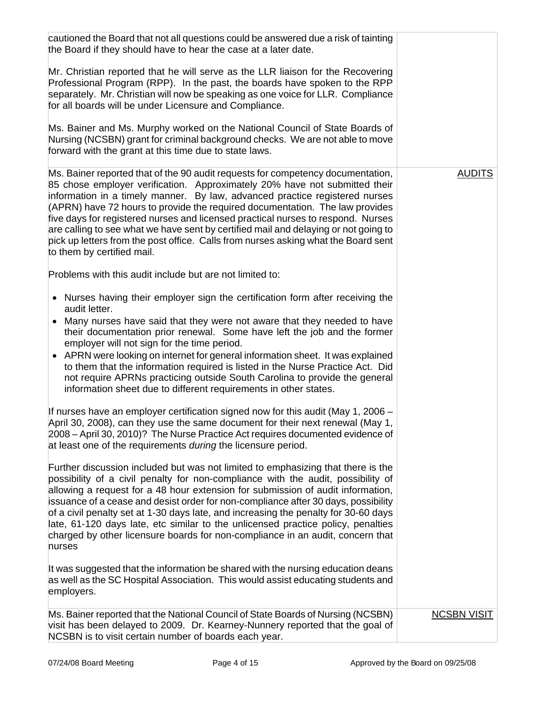| cautioned the Board that not all questions could be answered due a risk of tainting<br>the Board if they should have to hear the case at a later date.                                                                                                                                                                                                                                                                                                                                                                                                                                                                      |                    |
|-----------------------------------------------------------------------------------------------------------------------------------------------------------------------------------------------------------------------------------------------------------------------------------------------------------------------------------------------------------------------------------------------------------------------------------------------------------------------------------------------------------------------------------------------------------------------------------------------------------------------------|--------------------|
| Mr. Christian reported that he will serve as the LLR liaison for the Recovering<br>Professional Program (RPP). In the past, the boards have spoken to the RPP<br>separately. Mr. Christian will now be speaking as one voice for LLR. Compliance<br>for all boards will be under Licensure and Compliance.                                                                                                                                                                                                                                                                                                                  |                    |
| Ms. Bainer and Ms. Murphy worked on the National Council of State Boards of<br>Nursing (NCSBN) grant for criminal background checks. We are not able to move<br>forward with the grant at this time due to state laws.                                                                                                                                                                                                                                                                                                                                                                                                      |                    |
| Ms. Bainer reported that of the 90 audit requests for competency documentation,<br>85 chose employer verification. Approximately 20% have not submitted their<br>information in a timely manner. By law, advanced practice registered nurses<br>(APRN) have 72 hours to provide the required documentation. The law provides<br>five days for registered nurses and licensed practical nurses to respond. Nurses<br>are calling to see what we have sent by certified mail and delaying or not going to<br>pick up letters from the post office. Calls from nurses asking what the Board sent<br>to them by certified mail. | <b>AUDITS</b>      |
| Problems with this audit include but are not limited to:                                                                                                                                                                                                                                                                                                                                                                                                                                                                                                                                                                    |                    |
| • Nurses having their employer sign the certification form after receiving the<br>audit letter.                                                                                                                                                                                                                                                                                                                                                                                                                                                                                                                             |                    |
| • Many nurses have said that they were not aware that they needed to have<br>their documentation prior renewal. Some have left the job and the former<br>employer will not sign for the time period.<br>• APRN were looking on internet for general information sheet. It was explained<br>to them that the information required is listed in the Nurse Practice Act. Did<br>not require APRNs practicing outside South Carolina to provide the general<br>information sheet due to different requirements in other states.                                                                                                 |                    |
| If nurses have an employer certification signed now for this audit (May 1, 2006 $-$<br>April 30, 2008), can they use the same document for their next renewal (May 1,<br>2008 – April 30, 2010)? The Nurse Practice Act requires documented evidence of<br>at least one of the requirements <i>during</i> the licensure period.                                                                                                                                                                                                                                                                                             |                    |
| Further discussion included but was not limited to emphasizing that there is the<br>possibility of a civil penalty for non-compliance with the audit, possibility of<br>allowing a request for a 48 hour extension for submission of audit information,<br>issuance of a cease and desist order for non-compliance after 30 days, possibility<br>of a civil penalty set at 1-30 days late, and increasing the penalty for 30-60 days<br>late, 61-120 days late, etc similar to the unlicensed practice policy, penalties<br>charged by other licensure boards for non-compliance in an audit, concern that<br>nurses        |                    |
| It was suggested that the information be shared with the nursing education deans<br>as well as the SC Hospital Association. This would assist educating students and<br>employers.                                                                                                                                                                                                                                                                                                                                                                                                                                          |                    |
| Ms. Bainer reported that the National Council of State Boards of Nursing (NCSBN)<br>visit has been delayed to 2009. Dr. Kearney-Nunnery reported that the goal of<br>NCSBN is to visit certain number of boards each year.                                                                                                                                                                                                                                                                                                                                                                                                  | <b>NCSBN VISIT</b> |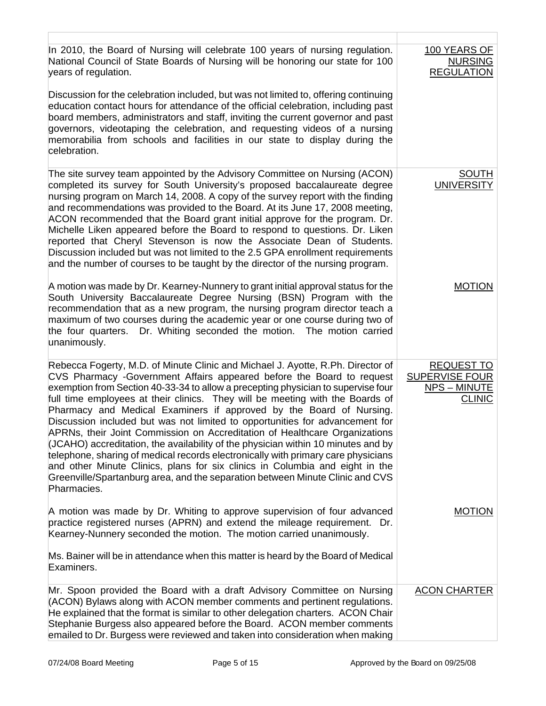| In 2010, the Board of Nursing will celebrate 100 years of nursing regulation.<br>National Council of State Boards of Nursing will be honoring our state for 100<br>years of regulation.                                                                                                                                                                                                                                                                                                                                                                                                                                                                                                                                                                                                                                                                                                                                        | 100 YEARS OF<br><b>NURSING</b><br><b>REGULATION</b>                                |
|--------------------------------------------------------------------------------------------------------------------------------------------------------------------------------------------------------------------------------------------------------------------------------------------------------------------------------------------------------------------------------------------------------------------------------------------------------------------------------------------------------------------------------------------------------------------------------------------------------------------------------------------------------------------------------------------------------------------------------------------------------------------------------------------------------------------------------------------------------------------------------------------------------------------------------|------------------------------------------------------------------------------------|
| Discussion for the celebration included, but was not limited to, offering continuing<br>education contact hours for attendance of the official celebration, including past<br>board members, administrators and staff, inviting the current governor and past<br>governors, videotaping the celebration, and requesting videos of a nursing<br>memorabilia from schools and facilities in our state to display during the<br>celebration.                                                                                                                                                                                                                                                                                                                                                                                                                                                                                      |                                                                                    |
| The site survey team appointed by the Advisory Committee on Nursing (ACON)<br>completed its survey for South University's proposed baccalaureate degree<br>nursing program on March 14, 2008. A copy of the survey report with the finding<br>and recommendations was provided to the Board. At its June 17, 2008 meeting,<br>ACON recommended that the Board grant initial approve for the program. Dr.<br>Michelle Liken appeared before the Board to respond to questions. Dr. Liken<br>reported that Cheryl Stevenson is now the Associate Dean of Students.<br>Discussion included but was not limited to the 2.5 GPA enrollment requirements<br>and the number of courses to be taught by the director of the nursing program.                                                                                                                                                                                           | <b>SOUTH</b><br><b>UNIVERSITY</b>                                                  |
| A motion was made by Dr. Kearney-Nunnery to grant initial approval status for the<br>South University Baccalaureate Degree Nursing (BSN) Program with the<br>recommendation that as a new program, the nursing program director teach a<br>maximum of two courses during the academic year or one course during two of<br>the four quarters. Dr. Whiting seconded the motion. The motion carried<br>unanimously.                                                                                                                                                                                                                                                                                                                                                                                                                                                                                                               | <b>MOTION</b>                                                                      |
| Rebecca Fogerty, M.D. of Minute Clinic and Michael J. Ayotte, R.Ph. Director of<br>CVS Pharmacy - Government Affairs appeared before the Board to request<br>exemption from Section 40-33-34 to allow a precepting physician to supervise four<br>full time employees at their clinics. They will be meeting with the Boards of<br>Pharmacy and Medical Examiners if approved by the Board of Nursing.<br>Discussion included but was not limited to opportunities for advancement for<br>APRNs, their Joint Commission on Accreditation of Healthcare Organizations<br>(JCAHO) accreditation, the availability of the physician within 10 minutes and by<br>telephone, sharing of medical records electronically with primary care physicians<br>and other Minute Clinics, plans for six clinics in Columbia and eight in the<br>Greenville/Spartanburg area, and the separation between Minute Clinic and CVS<br>Pharmacies. | <b>REQUEST TO</b><br><b>SUPERVISE FOUR</b><br><b>NPS - MINUTE</b><br><b>CLINIC</b> |
| A motion was made by Dr. Whiting to approve supervision of four advanced<br>practice registered nurses (APRN) and extend the mileage requirement.<br>Dr.<br>Kearney-Nunnery seconded the motion. The motion carried unanimously.                                                                                                                                                                                                                                                                                                                                                                                                                                                                                                                                                                                                                                                                                               | <b>MOTION</b>                                                                      |
| Ms. Bainer will be in attendance when this matter is heard by the Board of Medical<br>Examiners.                                                                                                                                                                                                                                                                                                                                                                                                                                                                                                                                                                                                                                                                                                                                                                                                                               |                                                                                    |
| Mr. Spoon provided the Board with a draft Advisory Committee on Nursing<br>(ACON) Bylaws along with ACON member comments and pertinent regulations.<br>He explained that the format is similar to other delegation charters. ACON Chair<br>Stephanie Burgess also appeared before the Board. ACON member comments<br>emailed to Dr. Burgess were reviewed and taken into consideration when making                                                                                                                                                                                                                                                                                                                                                                                                                                                                                                                             | <b>ACON CHARTER</b>                                                                |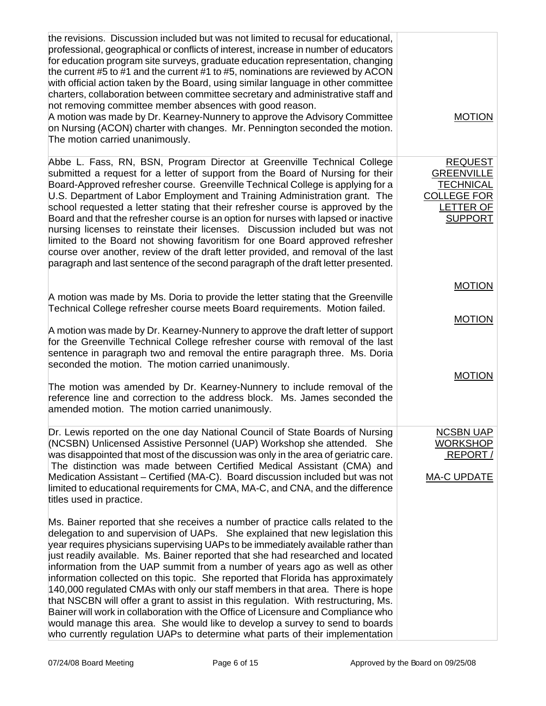| the revisions. Discussion included but was not limited to recusal for educational,<br>professional, geographical or conflicts of interest, increase in number of educators<br>for education program site surveys, graduate education representation, changing<br>the current #5 to #1 and the current #1 to #5, nominations are reviewed by ACON<br>with official action taken by the Board, using similar language in other committee<br>charters, collaboration between committee secretary and administrative staff and<br>not removing committee member absences with good reason.<br>A motion was made by Dr. Kearney-Nunnery to approve the Advisory Committee<br>on Nursing (ACON) charter with changes. Mr. Pennington seconded the motion.<br>The motion carried unanimously.                                                                                                                                                                                                                                                                                                                                                                                                                                                                                                                                                                                                                                                                                    | <b>MOTION</b>                                                                                                       |
|---------------------------------------------------------------------------------------------------------------------------------------------------------------------------------------------------------------------------------------------------------------------------------------------------------------------------------------------------------------------------------------------------------------------------------------------------------------------------------------------------------------------------------------------------------------------------------------------------------------------------------------------------------------------------------------------------------------------------------------------------------------------------------------------------------------------------------------------------------------------------------------------------------------------------------------------------------------------------------------------------------------------------------------------------------------------------------------------------------------------------------------------------------------------------------------------------------------------------------------------------------------------------------------------------------------------------------------------------------------------------------------------------------------------------------------------------------------------------|---------------------------------------------------------------------------------------------------------------------|
| Abbe L. Fass, RN, BSN, Program Director at Greenville Technical College<br>submitted a request for a letter of support from the Board of Nursing for their<br>Board-Approved refresher course. Greenville Technical College is applying for a<br>U.S. Department of Labor Employment and Training Administration grant. The<br>school requested a letter stating that their refresher course is approved by the<br>Board and that the refresher course is an option for nurses with lapsed or inactive<br>nursing licenses to reinstate their licenses. Discussion included but was not<br>limited to the Board not showing favoritism for one Board approved refresher<br>course over another, review of the draft letter provided, and removal of the last<br>paragraph and last sentence of the second paragraph of the draft letter presented.                                                                                                                                                                                                                                                                                                                                                                                                                                                                                                                                                                                                                        | <b>REQUEST</b><br><b>GREENVILLE</b><br><b>TECHNICAL</b><br><b>COLLEGE FOR</b><br><b>LETTER OF</b><br><b>SUPPORT</b> |
| A motion was made by Ms. Doria to provide the letter stating that the Greenville<br>Technical College refresher course meets Board requirements. Motion failed.<br>A motion was made by Dr. Kearney-Nunnery to approve the draft letter of support<br>for the Greenville Technical College refresher course with removal of the last<br>sentence in paragraph two and removal the entire paragraph three. Ms. Doria<br>seconded the motion. The motion carried unanimously.<br>The motion was amended by Dr. Kearney-Nunnery to include removal of the<br>reference line and correction to the address block. Ms. James seconded the<br>amended motion. The motion carried unanimously.                                                                                                                                                                                                                                                                                                                                                                                                                                                                                                                                                                                                                                                                                                                                                                                   | <b>MOTION</b><br><b>MOTION</b><br><b>MOTION</b>                                                                     |
| Dr. Lewis reported on the one day National Council of State Boards of Nursing<br>(NCSBN) Unlicensed Assistive Personnel (UAP) Workshop she attended. She<br>was disappointed that most of the discussion was only in the area of geriatric care.<br>The distinction was made between Certified Medical Assistant (CMA) and<br>Medication Assistant - Certified (MA-C). Board discussion included but was not<br>limited to educational requirements for CMA, MA-C, and CNA, and the difference<br>titles used in practice.<br>Ms. Bainer reported that she receives a number of practice calls related to the<br>delegation to and supervision of UAPs. She explained that new legislation this<br>year requires physicians supervising UAPs to be immediately available rather than<br>just readily available. Ms. Bainer reported that she had researched and located<br>information from the UAP summit from a number of years ago as well as other<br>information collected on this topic. She reported that Florida has approximately<br>140,000 regulated CMAs with only our staff members in that area. There is hope<br>that NSCBN will offer a grant to assist in this regulation. With restructuring, Ms.<br>Bainer will work in collaboration with the Office of Licensure and Compliance who<br>would manage this area. She would like to develop a survey to send to boards<br>who currently regulation UAPs to determine what parts of their implementation | <b>NCSBN UAP</b><br><b>WORKSHOP</b><br>REPORT/<br><b>MA-C UPDATE</b>                                                |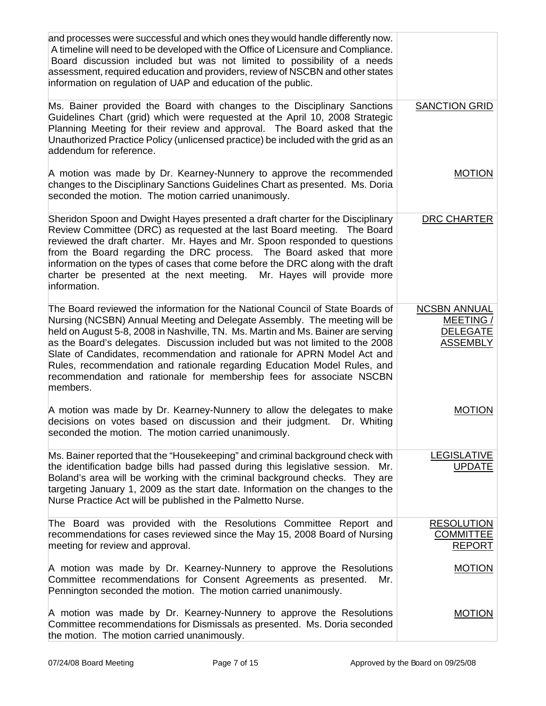| and processes were successful and which ones they would handle differently now.<br>A timeline will need to be developed with the Office of Licensure and Compliance.<br>Board discussion included but was not limited to possibility of a needs<br>assessment, required education and providers, review of NSCBN and other states<br>information on regulation of UAP and education of the public.                                                                                                                                                                           |                                                                        |
|------------------------------------------------------------------------------------------------------------------------------------------------------------------------------------------------------------------------------------------------------------------------------------------------------------------------------------------------------------------------------------------------------------------------------------------------------------------------------------------------------------------------------------------------------------------------------|------------------------------------------------------------------------|
| Ms. Bainer provided the Board with changes to the Disciplinary Sanctions<br>Guidelines Chart (grid) which were requested at the April 10, 2008 Strategic<br>Planning Meeting for their review and approval. The Board asked that the<br>Unauthorized Practice Policy (unlicensed practice) be included with the grid as an<br>addendum for reference.                                                                                                                                                                                                                        | <b>SANCTION GRID</b>                                                   |
| A motion was made by Dr. Kearney-Nunnery to approve the recommended<br>changes to the Disciplinary Sanctions Guidelines Chart as presented. Ms. Doria<br>seconded the motion. The motion carried unanimously.                                                                                                                                                                                                                                                                                                                                                                | <b>MOTION</b>                                                          |
| Sheridon Spoon and Dwight Hayes presented a draft charter for the Disciplinary<br>Review Committee (DRC) as requested at the last Board meeting.  The Board<br>reviewed the draft charter. Mr. Hayes and Mr. Spoon responded to questions<br>from the Board regarding the DRC process. The Board asked that more<br>information on the types of cases that come before the DRC along with the draft<br>charter be presented at the next meeting. Mr. Hayes will provide more<br>information.                                                                                 | <b>DRC CHARTER</b>                                                     |
| The Board reviewed the information for the National Council of State Boards of<br>Nursing (NCSBN) Annual Meeting and Delegate Assembly. The meeting will be<br>held on August 5-8, 2008 in Nashville, TN. Ms. Martin and Ms. Bainer are serving<br>as the Board's delegates. Discussion included but was not limited to the 2008<br>Slate of Candidates, recommendation and rationale for APRN Model Act and<br>Rules, recommendation and rationale regarding Education Model Rules, and<br>recommendation and rationale for membership fees for associate NSCBN<br>members. | <b>NCSBN ANNUAL</b><br>MEETING /<br><b>DELEGATE</b><br><b>ASSEMBLY</b> |
| A motion was made by Dr. Kearney-Nunnery to allow the delegates to make<br>decisions on votes based on discussion and their judgment. Dr. Whiting<br>seconded the motion. The motion carried unanimously.                                                                                                                                                                                                                                                                                                                                                                    | <b>MOTION</b>                                                          |
| Ms. Bainer reported that the "Housekeeping" and criminal background check with<br>the identification badge bills had passed during this legislative session. Mr.<br>Boland's area will be working with the criminal background checks. They are<br>targeting January 1, 2009 as the start date. Information on the changes to the<br>Nurse Practice Act will be published in the Palmetto Nurse.                                                                                                                                                                             | <b>LEGISLATIVE</b><br><b>UPDATE</b>                                    |
| The Board was provided with the Resolutions Committee Report and<br>recommendations for cases reviewed since the May 15, 2008 Board of Nursing<br>meeting for review and approval.                                                                                                                                                                                                                                                                                                                                                                                           | <b>RESOLUTION</b><br><b>COMMITTEE</b><br><b>REPORT</b>                 |
| A motion was made by Dr. Kearney-Nunnery to approve the Resolutions<br>Committee recommendations for Consent Agreements as presented.<br>Mr.<br>Pennington seconded the motion. The motion carried unanimously.                                                                                                                                                                                                                                                                                                                                                              | <b>MOTION</b>                                                          |
| A motion was made by Dr. Kearney-Nunnery to approve the Resolutions<br>Committee recommendations for Dismissals as presented. Ms. Doria seconded<br>the motion. The motion carried unanimously.                                                                                                                                                                                                                                                                                                                                                                              | <b>MOTION</b>                                                          |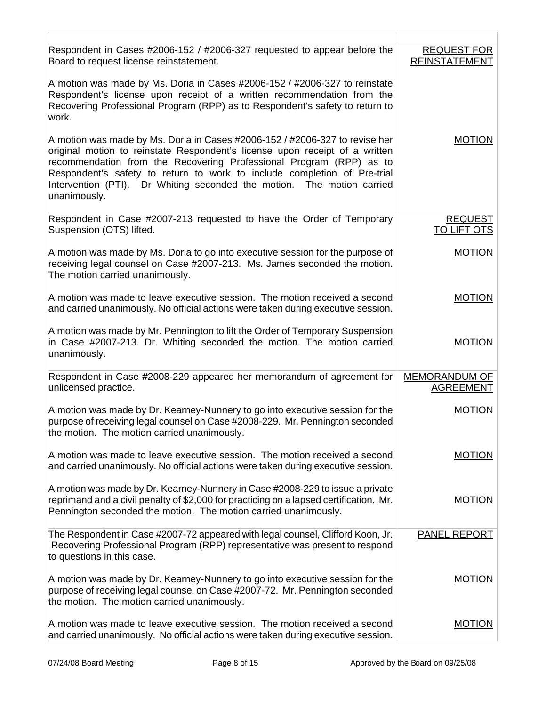| Respondent in Cases #2006-152 / #2006-327 requested to appear before the<br>Board to request license reinstatement.                                                                                                                                                                                                                                                                                     | <b>REQUEST FOR</b><br><b>REINSTATEMENT</b> |
|---------------------------------------------------------------------------------------------------------------------------------------------------------------------------------------------------------------------------------------------------------------------------------------------------------------------------------------------------------------------------------------------------------|--------------------------------------------|
| A motion was made by Ms. Doria in Cases #2006-152 / #2006-327 to reinstate<br>Respondent's license upon receipt of a written recommendation from the<br>Recovering Professional Program (RPP) as to Respondent's safety to return to<br>work.                                                                                                                                                           |                                            |
| A motion was made by Ms. Doria in Cases #2006-152 / #2006-327 to revise her<br>original motion to reinstate Respondent's license upon receipt of a written<br>recommendation from the Recovering Professional Program (RPP) as to<br>Respondent's safety to return to work to include completion of Pre-trial<br>Intervention (PTI). Dr Whiting seconded the motion. The motion carried<br>unanimously. | <b>MOTION</b>                              |
| Respondent in Case #2007-213 requested to have the Order of Temporary<br>Suspension (OTS) lifted.                                                                                                                                                                                                                                                                                                       | <b>REQUEST</b><br><b>TO LIFT OTS</b>       |
| A motion was made by Ms. Doria to go into executive session for the purpose of<br>receiving legal counsel on Case #2007-213. Ms. James seconded the motion.<br>The motion carried unanimously.                                                                                                                                                                                                          | <b>MOTION</b>                              |
| A motion was made to leave executive session. The motion received a second<br>and carried unanimously. No official actions were taken during executive session.                                                                                                                                                                                                                                         | <b>MOTION</b>                              |
| A motion was made by Mr. Pennington to lift the Order of Temporary Suspension<br>in Case #2007-213. Dr. Whiting seconded the motion. The motion carried<br>unanimously.                                                                                                                                                                                                                                 | <b>MOTION</b>                              |
| Respondent in Case #2008-229 appeared her memorandum of agreement for<br>unlicensed practice.                                                                                                                                                                                                                                                                                                           | <b>MEMORANDUM OF</b><br><b>AGREEMENT</b>   |
| A motion was made by Dr. Kearney-Nunnery to go into executive session for the<br>purpose of receiving legal counsel on Case #2008-229. Mr. Pennington seconded<br>the motion. The motion carried unanimously.                                                                                                                                                                                           | <b>MOTION</b>                              |
| A motion was made to leave executive session. The motion received a second<br>and carried unanimously. No official actions were taken during executive session.                                                                                                                                                                                                                                         | <b>MOTION</b>                              |
| A motion was made by Dr. Kearney-Nunnery in Case #2008-229 to issue a private<br>reprimand and a civil penalty of \$2,000 for practicing on a lapsed certification. Mr.<br>Pennington seconded the motion. The motion carried unanimously.                                                                                                                                                              | <b>MOTION</b>                              |
| The Respondent in Case #2007-72 appeared with legal counsel, Clifford Koon, Jr.<br>Recovering Professional Program (RPP) representative was present to respond<br>to questions in this case.                                                                                                                                                                                                            | <b>PANEL REPORT</b>                        |
| A motion was made by Dr. Kearney-Nunnery to go into executive session for the<br>purpose of receiving legal counsel on Case #2007-72. Mr. Pennington seconded<br>the motion. The motion carried unanimously.                                                                                                                                                                                            | <b>MOTION</b>                              |
| A motion was made to leave executive session. The motion received a second<br>and carried unanimously. No official actions were taken during executive session.                                                                                                                                                                                                                                         | <b>MOTION</b>                              |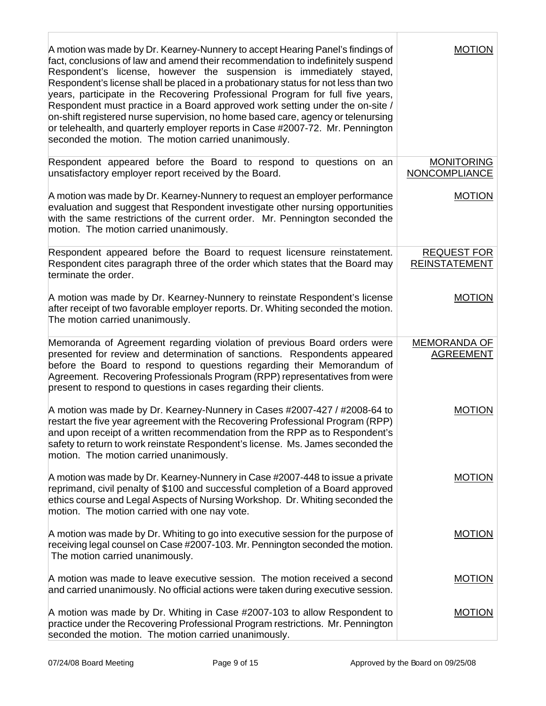| A motion was made by Dr. Kearney-Nunnery to accept Hearing Panel's findings of<br>fact, conclusions of law and amend their recommendation to indefinitely suspend<br>Respondent's license, however the suspension is immediately stayed,<br>Respondent's license shall be placed in a probationary status for not less than two<br>years, participate in the Recovering Professional Program for full five years,<br>Respondent must practice in a Board approved work setting under the on-site /<br>on-shift registered nurse supervision, no home based care, agency or telenursing<br>or telehealth, and quarterly employer reports in Case #2007-72. Mr. Pennington<br>seconded the motion. The motion carried unanimously. | <b>MOTION</b>                              |
|----------------------------------------------------------------------------------------------------------------------------------------------------------------------------------------------------------------------------------------------------------------------------------------------------------------------------------------------------------------------------------------------------------------------------------------------------------------------------------------------------------------------------------------------------------------------------------------------------------------------------------------------------------------------------------------------------------------------------------|--------------------------------------------|
| Respondent appeared before the Board to respond to questions on an<br>unsatisfactory employer report received by the Board.                                                                                                                                                                                                                                                                                                                                                                                                                                                                                                                                                                                                      | <b>MONITORING</b><br><b>NONCOMPLIANCE</b>  |
| A motion was made by Dr. Kearney-Nunnery to request an employer performance<br>evaluation and suggest that Respondent investigate other nursing opportunities<br>with the same restrictions of the current order. Mr. Pennington seconded the<br>motion. The motion carried unanimously.                                                                                                                                                                                                                                                                                                                                                                                                                                         | <b>MOTION</b>                              |
| Respondent appeared before the Board to request licensure reinstatement.<br>Respondent cites paragraph three of the order which states that the Board may<br>terminate the order.                                                                                                                                                                                                                                                                                                                                                                                                                                                                                                                                                | <b>REQUEST FOR</b><br><b>REINSTATEMENT</b> |
| A motion was made by Dr. Kearney-Nunnery to reinstate Respondent's license<br>after receipt of two favorable employer reports. Dr. Whiting seconded the motion.<br>The motion carried unanimously.                                                                                                                                                                                                                                                                                                                                                                                                                                                                                                                               | <b>MOTION</b>                              |
| Memoranda of Agreement regarding violation of previous Board orders were<br>presented for review and determination of sanctions. Respondents appeared<br>before the Board to respond to questions regarding their Memorandum of<br>Agreement. Recovering Professionals Program (RPP) representatives from were<br>present to respond to questions in cases regarding their clients.                                                                                                                                                                                                                                                                                                                                              | <b>MEMORANDA OF</b><br><b>AGREEMENT</b>    |
| A motion was made by Dr. Kearney-Nunnery in Cases #2007-427 / #2008-64 to<br>restart the five year agreement with the Recovering Professional Program (RPP)<br>and upon receipt of a written recommendation from the RPP as to Respondent's<br>safety to return to work reinstate Respondent's license. Ms. James seconded the<br>motion. The motion carried unanimously.                                                                                                                                                                                                                                                                                                                                                        | <b>MOTION</b>                              |
| A motion was made by Dr. Kearney-Nunnery in Case #2007-448 to issue a private<br>reprimand, civil penalty of \$100 and successful completion of a Board approved<br>ethics course and Legal Aspects of Nursing Workshop. Dr. Whiting seconded the<br>motion. The motion carried with one nay vote.                                                                                                                                                                                                                                                                                                                                                                                                                               | <b>MOTION</b>                              |
| A motion was made by Dr. Whiting to go into executive session for the purpose of<br>receiving legal counsel on Case #2007-103. Mr. Pennington seconded the motion.<br>The motion carried unanimously.                                                                                                                                                                                                                                                                                                                                                                                                                                                                                                                            | <b>MOTION</b>                              |
| A motion was made to leave executive session. The motion received a second<br>and carried unanimously. No official actions were taken during executive session.                                                                                                                                                                                                                                                                                                                                                                                                                                                                                                                                                                  | <b>MOTION</b>                              |
| A motion was made by Dr. Whiting in Case #2007-103 to allow Respondent to<br>practice under the Recovering Professional Program restrictions. Mr. Pennington<br>seconded the motion. The motion carried unanimously.                                                                                                                                                                                                                                                                                                                                                                                                                                                                                                             | <b>MOTION</b>                              |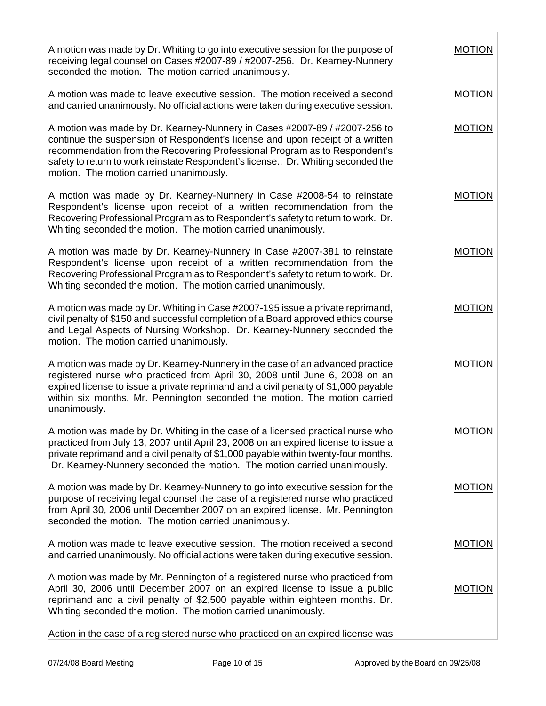| A motion was made by Dr. Whiting to go into executive session for the purpose of<br>receiving legal counsel on Cases #2007-89 / #2007-256. Dr. Kearney-Nunnery<br>seconded the motion. The motion carried unanimously.                                                                                                                                                  | MOTION        |
|-------------------------------------------------------------------------------------------------------------------------------------------------------------------------------------------------------------------------------------------------------------------------------------------------------------------------------------------------------------------------|---------------|
| A motion was made to leave executive session. The motion received a second<br>and carried unanimously. No official actions were taken during executive session.                                                                                                                                                                                                         | <b>MOTION</b> |
| A motion was made by Dr. Kearney-Nunnery in Cases #2007-89 / #2007-256 to<br>continue the suspension of Respondent's license and upon receipt of a written<br>recommendation from the Recovering Professional Program as to Respondent's<br>safety to return to work reinstate Respondent's license Dr. Whiting seconded the<br>motion. The motion carried unanimously. | <b>MOTION</b> |
| A motion was made by Dr. Kearney-Nunnery in Case #2008-54 to reinstate<br>Respondent's license upon receipt of a written recommendation from the<br>Recovering Professional Program as to Respondent's safety to return to work. Dr.<br>Whiting seconded the motion. The motion carried unanimously.                                                                    | <b>MOTION</b> |
| A motion was made by Dr. Kearney-Nunnery in Case #2007-381 to reinstate<br>Respondent's license upon receipt of a written recommendation from the<br>Recovering Professional Program as to Respondent's safety to return to work. Dr.<br>Whiting seconded the motion. The motion carried unanimously.                                                                   | <b>MOTION</b> |
| A motion was made by Dr. Whiting in Case #2007-195 issue a private reprimand,<br>civil penalty of \$150 and successful completion of a Board approved ethics course<br>and Legal Aspects of Nursing Workshop. Dr. Kearney-Nunnery seconded the<br>motion. The motion carried unanimously.                                                                               | <b>MOTION</b> |
| A motion was made by Dr. Kearney-Nunnery in the case of an advanced practice<br>registered nurse who practiced from April 30, 2008 until June 6, 2008 on an<br>expired license to issue a private reprimand and a civil penalty of \$1,000 payable<br>within six months. Mr. Pennington seconded the motion. The motion carried<br>unanimously.                         | <b>MOTION</b> |
| A motion was made by Dr. Whiting in the case of a licensed practical nurse who<br>practiced from July 13, 2007 until April 23, 2008 on an expired license to issue a<br>private reprimand and a civil penalty of \$1,000 payable within twenty-four months.<br>Dr. Kearney-Nunnery seconded the motion. The motion carried unanimously.                                 | <b>MOTION</b> |
| A motion was made by Dr. Kearney-Nunnery to go into executive session for the<br>purpose of receiving legal counsel the case of a registered nurse who practiced<br>from April 30, 2006 until December 2007 on an expired license. Mr. Pennington<br>seconded the motion. The motion carried unanimously.                                                               | <b>MOTION</b> |
| A motion was made to leave executive session. The motion received a second<br>and carried unanimously. No official actions were taken during executive session.                                                                                                                                                                                                         | <b>MOTION</b> |
| A motion was made by Mr. Pennington of a registered nurse who practiced from<br>April 30, 2006 until December 2007 on an expired license to issue a public<br>reprimand and a civil penalty of \$2,500 payable within eighteen months. Dr.<br>Whiting seconded the motion. The motion carried unanimously.                                                              | <b>MOTION</b> |
| Action in the case of a registered nurse who practiced on an expired license was                                                                                                                                                                                                                                                                                        |               |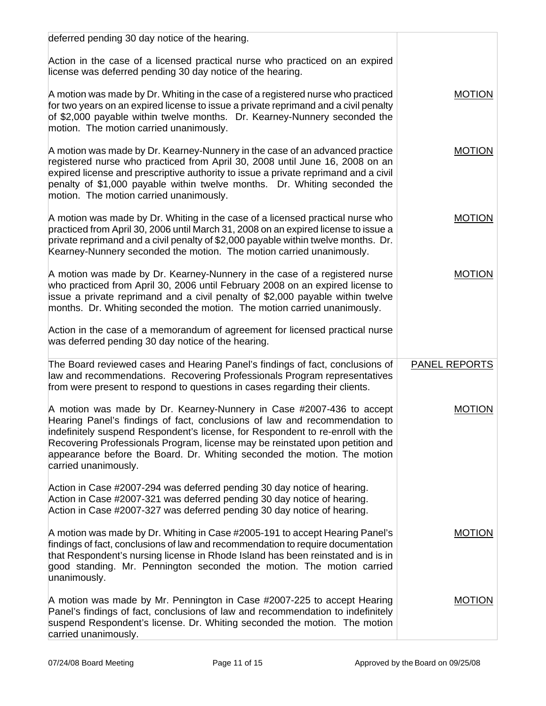| deferred pending 30 day notice of the hearing.                                                                                                                                                                                                                                                                                                                                                                             |                      |
|----------------------------------------------------------------------------------------------------------------------------------------------------------------------------------------------------------------------------------------------------------------------------------------------------------------------------------------------------------------------------------------------------------------------------|----------------------|
| Action in the case of a licensed practical nurse who practiced on an expired<br>license was deferred pending 30 day notice of the hearing.                                                                                                                                                                                                                                                                                 |                      |
| A motion was made by Dr. Whiting in the case of a registered nurse who practiced<br>for two years on an expired license to issue a private reprimand and a civil penalty<br>of \$2,000 payable within twelve months. Dr. Kearney-Nunnery seconded the<br>motion. The motion carried unanimously.                                                                                                                           | <b>MOTION</b>        |
| A motion was made by Dr. Kearney-Nunnery in the case of an advanced practice<br>registered nurse who practiced from April 30, 2008 until June 16, 2008 on an<br>expired license and prescriptive authority to issue a private reprimand and a civil<br>penalty of \$1,000 payable within twelve months. Dr. Whiting seconded the<br>motion. The motion carried unanimously.                                                | <b>MOTION</b>        |
| A motion was made by Dr. Whiting in the case of a licensed practical nurse who<br>practiced from April 30, 2006 until March 31, 2008 on an expired license to issue a<br>private reprimand and a civil penalty of \$2,000 payable within twelve months. Dr.<br>Kearney-Nunnery seconded the motion. The motion carried unanimously.                                                                                        | <b>MOTION</b>        |
| A motion was made by Dr. Kearney-Nunnery in the case of a registered nurse<br>who practiced from April 30, 2006 until February 2008 on an expired license to<br>issue a private reprimand and a civil penalty of \$2,000 payable within twelve<br>months. Dr. Whiting seconded the motion. The motion carried unanimously.                                                                                                 | <b>MOTION</b>        |
| Action in the case of a memorandum of agreement for licensed practical nurse<br>was deferred pending 30 day notice of the hearing.                                                                                                                                                                                                                                                                                         |                      |
| The Board reviewed cases and Hearing Panel's findings of fact, conclusions of<br>law and recommendations. Recovering Professionals Program representatives<br>from were present to respond to questions in cases regarding their clients.                                                                                                                                                                                  | <b>PANEL REPORTS</b> |
| A motion was made by Dr. Kearney-Nunnery in Case #2007-436 to accept<br>Hearing Panel's findings of fact, conclusions of law and recommendation to<br>indefinitely suspend Respondent's license, for Respondent to re-enroll with the<br>Recovering Professionals Program, license may be reinstated upon petition and<br>appearance before the Board. Dr. Whiting seconded the motion. The motion<br>carried unanimously. | <b>MOTION</b>        |
| Action in Case #2007-294 was deferred pending 30 day notice of hearing.<br>Action in Case #2007-321 was deferred pending 30 day notice of hearing.<br>Action in Case #2007-327 was deferred pending 30 day notice of hearing.                                                                                                                                                                                              |                      |
| A motion was made by Dr. Whiting in Case #2005-191 to accept Hearing Panel's<br>findings of fact, conclusions of law and recommendation to require documentation<br>that Respondent's nursing license in Rhode Island has been reinstated and is in<br>good standing. Mr. Pennington seconded the motion. The motion carried<br>unanimously.                                                                               | <b>MOTION</b>        |
| A motion was made by Mr. Pennington in Case #2007-225 to accept Hearing<br>Panel's findings of fact, conclusions of law and recommendation to indefinitely<br>suspend Respondent's license. Dr. Whiting seconded the motion. The motion<br>carried unanimously.                                                                                                                                                            | <b>MOTION</b>        |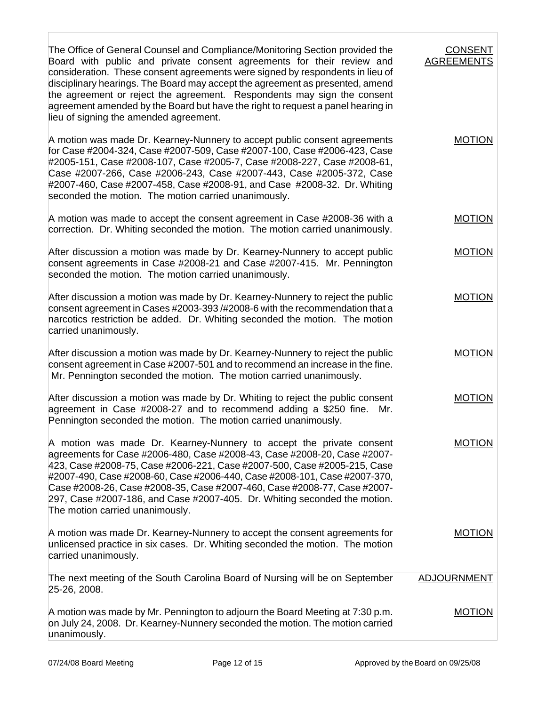| The Office of General Counsel and Compliance/Monitoring Section provided the<br>Board with public and private consent agreements for their review and<br>consideration. These consent agreements were signed by respondents in lieu of<br>disciplinary hearings. The Board may accept the agreement as presented, amend<br>the agreement or reject the agreement. Respondents may sign the consent<br>agreement amended by the Board but have the right to request a panel hearing in<br>lieu of signing the amended agreement. | <b>CONSENT</b><br><b>AGREEMENTS</b> |
|---------------------------------------------------------------------------------------------------------------------------------------------------------------------------------------------------------------------------------------------------------------------------------------------------------------------------------------------------------------------------------------------------------------------------------------------------------------------------------------------------------------------------------|-------------------------------------|
| A motion was made Dr. Kearney-Nunnery to accept public consent agreements<br>for Case #2004-324, Case #2007-509, Case #2007-100, Case #2006-423, Case<br>#2005-151, Case #2008-107, Case #2005-7, Case #2008-227, Case #2008-61,<br>Case #2007-266, Case #2006-243, Case #2007-443, Case #2005-372, Case<br>#2007-460, Case #2007-458, Case #2008-91, and Case #2008-32. Dr. Whiting<br>seconded the motion. The motion carried unanimously.                                                                                    | <b>MOTION</b>                       |
| A motion was made to accept the consent agreement in Case #2008-36 with a<br>correction. Dr. Whiting seconded the motion. The motion carried unanimously.                                                                                                                                                                                                                                                                                                                                                                       | <b>MOTION</b>                       |
| After discussion a motion was made by Dr. Kearney-Nunnery to accept public<br>consent agreements in Case #2008-21 and Case #2007-415. Mr. Pennington<br>seconded the motion. The motion carried unanimously.                                                                                                                                                                                                                                                                                                                    | <b>MOTION</b>                       |
| After discussion a motion was made by Dr. Kearney-Nunnery to reject the public<br>consent agreement in Cases #2003-393 /#2008-6 with the recommendation that a<br>narcotics restriction be added. Dr. Whiting seconded the motion. The motion<br>carried unanimously.                                                                                                                                                                                                                                                           | <b>MOTION</b>                       |
| After discussion a motion was made by Dr. Kearney-Nunnery to reject the public<br>consent agreement in Case #2007-501 and to recommend an increase in the fine.<br>Mr. Pennington seconded the motion. The motion carried unanimously.                                                                                                                                                                                                                                                                                          | <b>MOTION</b>                       |
| After discussion a motion was made by Dr. Whiting to reject the public consent<br>agreement in Case #2008-27 and to recommend adding a \$250 fine.<br>Mr.<br>Pennington seconded the motion. The motion carried unanimously.                                                                                                                                                                                                                                                                                                    | <b>MOTION</b>                       |
| A motion was made Dr. Kearney-Nunnery to accept the private consent<br>agreements for Case #2006-480, Case #2008-43, Case #2008-20, Case #2007-<br>423, Case #2008-75, Case #2006-221, Case #2007-500, Case #2005-215, Case<br>#2007-490, Case #2008-60, Case #2006-440, Case #2008-101, Case #2007-370,<br>Case #2008-26, Case #2008-35, Case #2007-460, Case #2008-77, Case #2007-<br>297, Case #2007-186, and Case #2007-405. Dr. Whiting seconded the motion.<br>The motion carried unanimously.                            | <b>MOTION</b>                       |
| A motion was made Dr. Kearney-Nunnery to accept the consent agreements for<br>unlicensed practice in six cases. Dr. Whiting seconded the motion. The motion<br>carried unanimously.                                                                                                                                                                                                                                                                                                                                             | <b>MOTION</b>                       |
| The next meeting of the South Carolina Board of Nursing will be on September<br>25-26, 2008.                                                                                                                                                                                                                                                                                                                                                                                                                                    | <b>ADJOURNMENT</b>                  |
| A motion was made by Mr. Pennington to adjourn the Board Meeting at 7:30 p.m.<br>on July 24, 2008. Dr. Kearney-Nunnery seconded the motion. The motion carried<br>unanimously.                                                                                                                                                                                                                                                                                                                                                  | <b>MOTION</b>                       |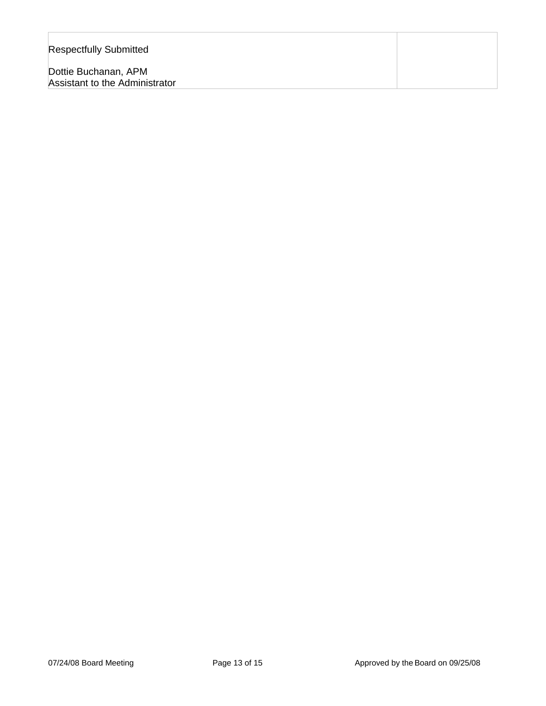| <b>Respectfully Submitted</b>                          |  |
|--------------------------------------------------------|--|
| Dottie Buchanan, APM<br>Assistant to the Administrator |  |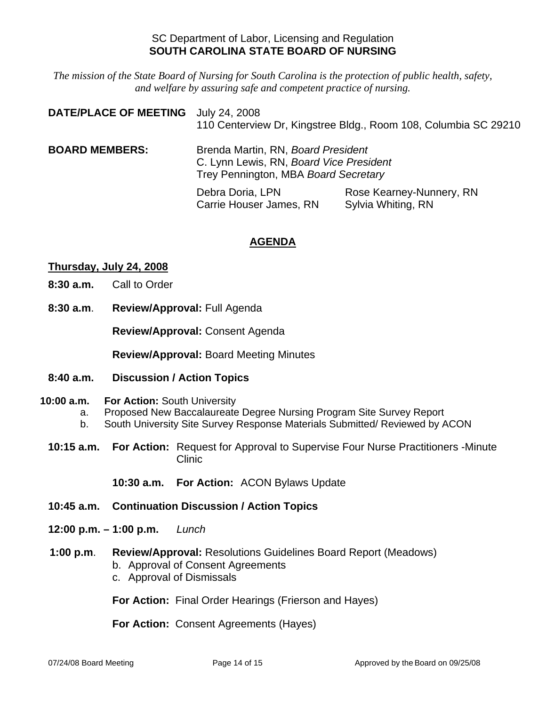# SC Department of Labor, Licensing and Regulation **SOUTH CAROLINA STATE BOARD OF NURSING**

*The mission of the State Board of Nursing for South Carolina is the protection of public health, safety, and welfare by assuring safe and competent practice of nursing.*

| <b>DATE/PLACE OF MEETING</b> | July 24, 2008<br>110 Centerview Dr, Kingstree Bldg., Room 108, Columbia SC 29210                                      |                                                |
|------------------------------|-----------------------------------------------------------------------------------------------------------------------|------------------------------------------------|
| <b>BOARD MEMBERS:</b>        | Brenda Martin, RN, Board President<br>C. Lynn Lewis, RN, Board Vice President<br>Trey Pennington, MBA Board Secretary |                                                |
|                              | Debra Doria, LPN<br>Carrie Houser James, RN                                                                           | Rose Kearney-Nunnery, RN<br>Sylvia Whiting, RN |

# **AGENDA**

### **Thursday, July 24, 2008**

- **8:30 a.m.** Call to Order
- **8:30 a.m**. **Review/Approval:** Full Agenda

**Review/Approval:** Consent Agenda

**Review/Approval:** Board Meeting Minutes

- **8:40 a.m. Discussion / Action Topics**
- **10:00 a.m. For Action:** South University
	- a. Proposed New Baccalaureate Degree Nursing Program Site Survey Report
	- b. South University Site Survey Response Materials Submitted/ Reviewed by ACON
	- **10:15 a.m. For Action:** Request for Approval to Supervise Four Nurse Practitioners -Minute Clinic

**10:30 a.m. For Action:** ACON Bylaws Update

- **10:45 a.m. Continuation Discussion / Action Topics**
- **12:00 p.m. 1:00 p.m.** *Lunch*

#### **1:00 p.m**. **Review/Approval:** Resolutions Guidelines Board Report (Meadows) b. Approval of Consent Agreements

c. Approval of Dismissals

**For Action:** Final Order Hearings (Frierson and Hayes)

**For Action:** Consent Agreements (Hayes)